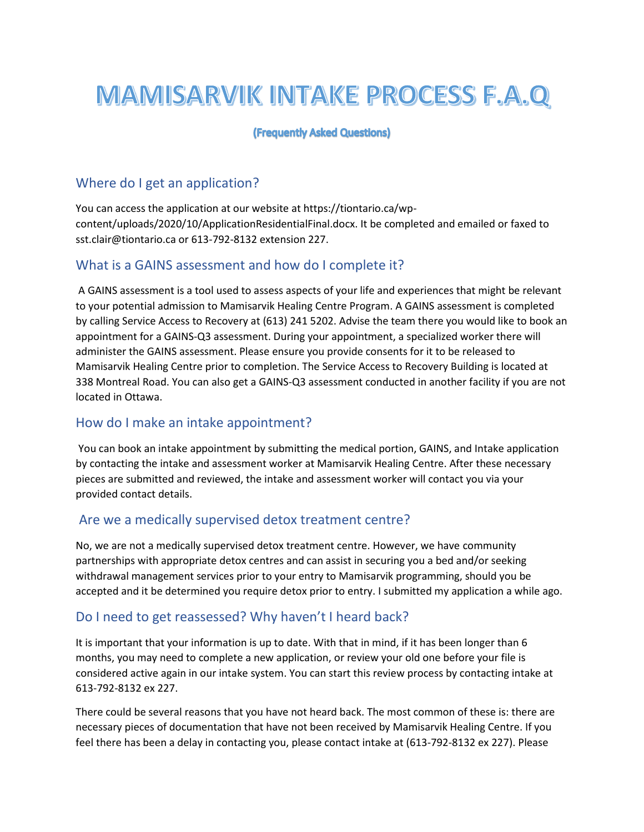# **MAMISARVIK INTAKE PROCESS F.A.Q**

#### (Frequently Asked Questions)

# Where do I get an application?

You can access the application at our website at https://tiontario.ca/wpcontent/uploads/2020/10/ApplicationResidentialFinal.docx. It be completed and emailed or faxed to sst.clair@tiontario.ca or 613-792-8132 extension 227.

### What is a GAINS assessment and how do I complete it?

 A GAINS assessment is a tool used to assess aspects of your life and experiences that might be relevant to your potential admission to Mamisarvik Healing Centre Program. A GAINS assessment is completed by calling Service Access to Recovery at (613) 241 5202. Advise the team there you would like to book an appointment for a GAINS-Q3 assessment. During your appointment, a specialized worker there will administer the GAINS assessment. Please ensure you provide consents for it to be released to Mamisarvik Healing Centre prior to completion. The Service Access to Recovery Building is located at 338 Montreal Road. You can also get a GAINS-Q3 assessment conducted in another facility if you are not located in Ottawa.

#### How do I make an intake appointment?

 You can book an intake appointment by submitting the medical portion, GAINS, and Intake application by contacting the intake and assessment worker at Mamisarvik Healing Centre. After these necessary pieces are submitted and reviewed, the intake and assessment worker will contact you via your provided contact details.

#### Are we a medically supervised detox treatment centre?

No, we are not a medically supervised detox treatment centre. However, we have community partnerships with appropriate detox centres and can assist in securing you a bed and/or seeking withdrawal management services prior to your entry to Mamisarvik programming, should you be accepted and it be determined you require detox prior to entry. I submitted my application a while ago.

# Do I need to get reassessed? Why haven't I heard back?

It is important that your information is up to date. With that in mind, if it has been longer than 6 months, you may need to complete a new application, or review your old one before your file is considered active again in our intake system. You can start this review process by contacting intake at 613-792-8132 ex 227.

There could be several reasons that you have not heard back. The most common of these is: there are necessary pieces of documentation that have not been received by Mamisarvik Healing Centre. If you feel there has been a delay in contacting you, please contact intake at (613-792-8132 ex 227). Please